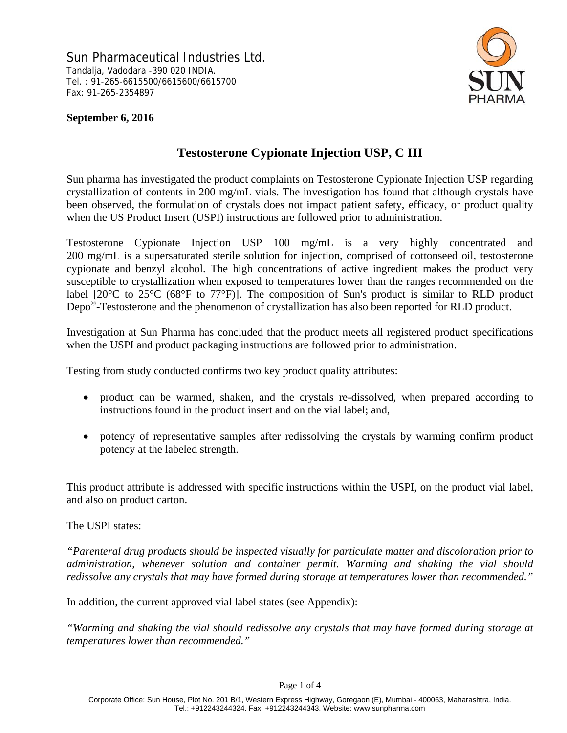Sun Pharmaceutical Industries Ltd. Tandalja, Vadodara -390 020 INDIA. Tel. : 91-265-6615500/6615600/6615700 Fax: 91-265-2354897



### **September 6, 2016**

### **Testosterone Cypionate Injection USP, C III**

Sun pharma has investigated the product complaints on Testosterone Cypionate Injection USP regarding crystallization of contents in 200 mg/mL vials. The investigation has found that although crystals have been observed, the formulation of crystals does not impact patient safety, efficacy, or product quality when the US Product Insert (USPI) instructions are followed prior to administration.

Testosterone Cypionate Injection USP 100 mg/mL is a very highly concentrated and 200 mg/mL is a supersaturated sterile solution for injection, comprised of cottonseed oil, testosterone cypionate and benzyl alcohol. The high concentrations of active ingredient makes the product very susceptible to crystallization when exposed to temperatures lower than the ranges recommended on the label  $[20^{\circ}\text{C}$  to  $25^{\circ}\text{C}$  (68°F to 77°F)]. The composition of Sun's product is similar to RLD product Depo®-Testosterone and the phenomenon of crystallization has also been reported for RLD product.

Investigation at Sun Pharma has concluded that the product meets all registered product specifications when the USPI and product packaging instructions are followed prior to administration.

Testing from study conducted confirms two key product quality attributes:

- product can be warmed, shaken, and the crystals re-dissolved, when prepared according to instructions found in the product insert and on the vial label; and,
- potency of representative samples after redissolving the crystals by warming confirm product potency at the labeled strength.

This product attribute is addressed with specific instructions within the USPI, on the product vial label, and also on product carton.

The USPI states:

*"Parenteral drug products should be inspected visually for particulate matter and discoloration prior to administration, whenever solution and container permit. Warming and shaking the vial should redissolve any crystals that may have formed during storage at temperatures lower than recommended."*

In addition, the current approved vial label states (see Appendix):

*"Warming and shaking the vial should redissolve any crystals that may have formed during storage at temperatures lower than recommended."*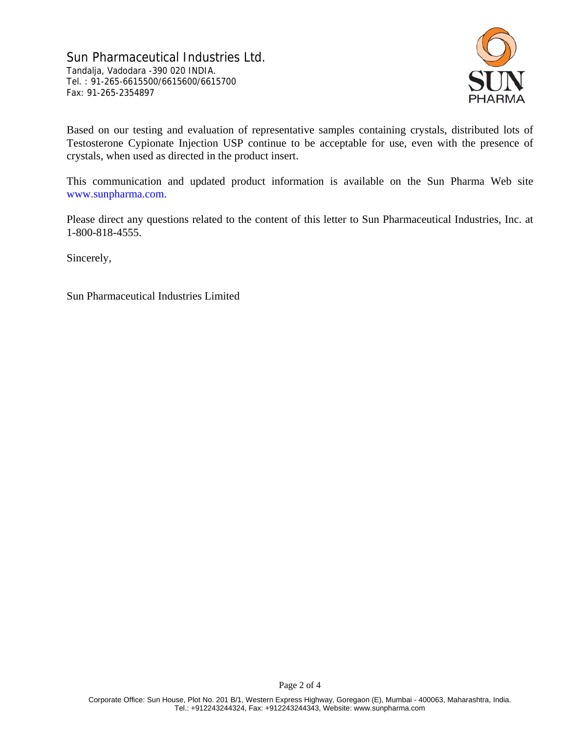Sun Pharmaceutical Industries Ltd. Tandalja, Vadodara -390 020 INDIA. Tel. : 91-265-6615500/6615600/6615700 Fax: 91-265-2354897



Based on our testing and evaluation of representative samples containing crystals, distributed lots of Testosterone Cypionate Injection USP continue to be acceptable for use, even with the presence of crystals, when used as directed in the product insert.

This communication and updated product information is available on the Sun Pharma Web site www.sunpharma.com.

Please direct any questions related to the content of this letter to Sun Pharmaceutical Industries, Inc. at 1-800-818-4555.

Sincerely,

Sun Pharmaceutical Industries Limited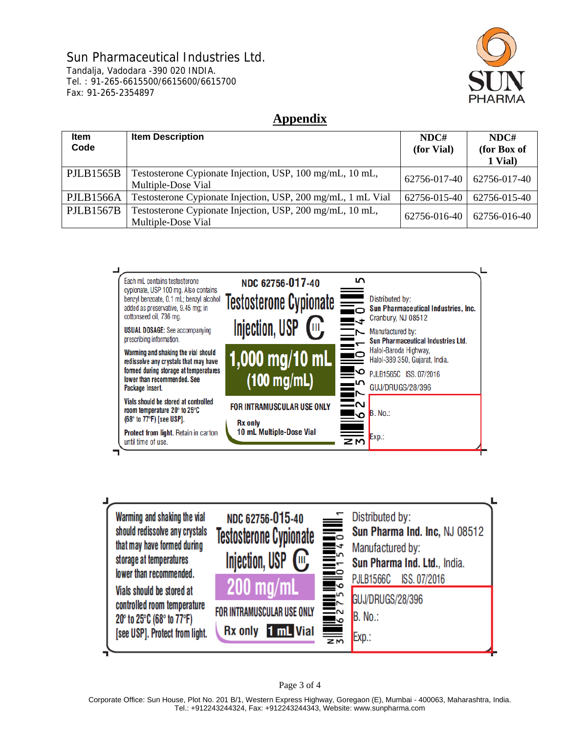# Sun Pharmaceutical Industries Ltd.

Tandalja, Vadodara -390 020 INDIA. Tel. : 91-265-6615500/6615600/6615700 Fax: 91-265-2354897



## **Appendix**

| <b>Item</b><br>Code | <b>Item Description</b>                                                        | NDC#<br>(for Vial) | NDC#<br>(for Box of<br>1 Vial) |
|---------------------|--------------------------------------------------------------------------------|--------------------|--------------------------------|
| PJLB1565B           | Testosterone Cypionate Injection, USP, 100 mg/mL, 10 mL,<br>Multiple-Dose Vial | 62756-017-40       | 62756-017-40                   |
| <b>PJLB1566A</b>    | Testosterone Cypionate Injection, USP, 200 mg/mL, 1 mL Vial                    | 62756-015-40       | 62756-015-40                   |
| <b>PJLB1567B</b>    | Testosterone Cypionate Injection, USP, 200 mg/mL, 10 mL,<br>Multiple-Dose Vial | 62756-016-40       | 62756-016-40                   |





Page 3 of 4